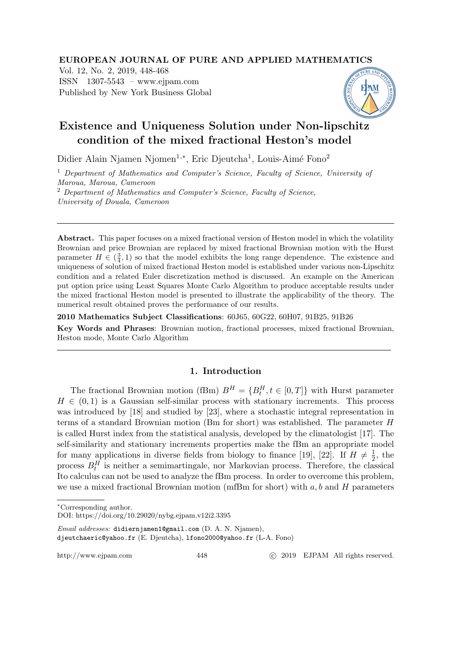## EUROPEAN JOURNAL OF PURE AND APPLIED MATHEMATICS

Vol. 12, No. 2, 2019, 448-468 ISSN 1307-5543 – www.ejpam.com Published by New York Business Global



# Existence and Uniqueness Solution under Non-lipschitz condition of the mixed fractional Heston's model

Didier Alain Njamen Njomen<sup>1,∗</sup>, Eric Djeutcha<sup>1</sup>, Louis-Aimé Fono<sup>2</sup>

 $1$  Department of Mathematics and Computer's Science, Faculty of Science, University of Maroua, Maroua, Cameroon <sup>2</sup> Department of Mathematics and Computer's Science, Faculty of Science,

University of Douala, Cameroon

Abstract. This paper focuses on a mixed fractional version of Heston model in which the volatility Brownian and price Brownian are replaced by mixed fractional Brownian motion with the Hurst parameter  $H \in (\frac{3}{4}, 1)$  so that the model exhibits the long range dependence. The existence and uniqueness of solution of mixed fractional Heston model is established under various non-Lipschitz condition and a related Euler discretization method is discussed. An example on the American put option price using Least Squares Monte Carlo Algorithm to produce acceptable results under the mixed fractional Heston model is presented to illustrate the applicability of the theory. The numerical result obtained proves the performance of our results.

2010 Mathematics Subject Classifications: 60J65, 60G22, 60H07, 91B25, 91B26

Key Words and Phrases: Brownian motion, fractional processes, mixed fractional Brownian, Heston mode, Monte Carlo Algorithm

# 1. Introduction

The fractional Brownian motion (fBm)  $B^H = \{B_t^H, t \in [0,T]\}\$  with Hurst parameter  $H \in (0, 1)$  is a Gaussian self-similar process with stationary increments. This process was introduced by [18] and studied by [23], where a stochastic integral representation in terms of a standard Brownian motion (Bm for short) was established. The parameter H is called Hurst index from the statistical analysis, developed by the climatologist [17]. The self-similarity and stationary increments properties make the fBm an appropriate model for many applications in diverse fields from biology to finance [19], [22]. If  $H \neq \frac{1}{2}$  $\frac{1}{2}$ , the process  $B_t^H$  is neither a semimartingale, nor Markovian process. Therefore, the classical Ito calculus can not be used to analyze the fBm process. In order to overcome this problem, we use a mixed fractional Brownian motion (mfBm for short) with  $a, b$  and  $H$  parameters

Email addresses: didiernjamen1@gmail.com (D. A. N. Njamen), djeutchaeric@yahoo.fr (E. Djeutcha), lfono2000@yahoo.fr (L-A. Fono)

http://www.ejpam.com 448 c 2019 EJPAM All rights reserved.

<sup>∗</sup>Corresponding author.

DOI: https://doi.org/10.29020/nybg.ejpam.v12i2.3395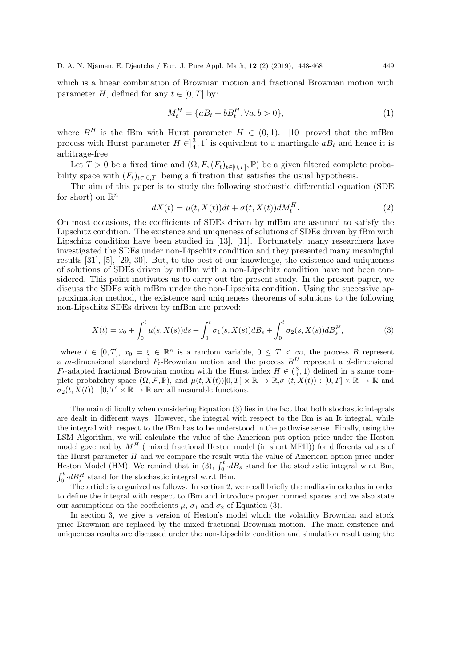which is a linear combination of Brownian motion and fractional Brownian motion with parameter H, defined for any  $t \in [0, T]$  by:

$$
M_t^H = \{ aB_t + bB_t^H, \forall a, b > 0 \},\tag{1}
$$

where  $B^H$  is the fBm with Hurst parameter  $H \in (0,1)$ . [10] proved that the mfBm process with Hurst parameter  $H \in ]\frac{3}{4}$  $\frac{3}{4}$ , 1 is equivalent to a martingale  $aB_t$  and hence it is arbitrage-free.

Let  $T > 0$  be a fixed time and  $(\Omega, F, (F_t)_{t \in [0,T]}, \mathbb{P})$  be a given filtered complete probability space with  $(F_t)_{t\in[0,T]}$  being a filtration that satisfies the usual hypothesis.

The aim of this paper is to study the following stochastic differential equation (SDE for short) on  $\mathbb{R}^n$ 

$$
dX(t) = \mu(t, X(t))dt + \sigma(t, X(t))dM_t^H.
$$
\n(2)

On most occasions, the coefficients of SDEs driven by mfBm are assumed to satisfy the Lipschitz condition. The existence and uniqueness of solutions of SDEs driven by fBm with Lipschitz condition have been studied in [13], [11]. Fortunately, many researchers have investigated the SDEs under non-Lipschitz condition and they presented many meaningful results [31], [5], [29, 30]. But, to the best of our knowledge, the existence and uniqueness of solutions of SDEs driven by mfBm with a non-Lipschitz condition have not been considered. This point motivates us to carry out the present study. In the present paper, we discuss the SDEs with mfBm under the non-Lipschitz condition. Using the successive approximation method, the existence and uniqueness theorems of solutions to the following non-Lipschitz SDEs driven by mfBm are proved:

$$
X(t) = x_0 + \int_0^t \mu(s, X(s))ds + \int_0^t \sigma_1(s, X(s))dB_s + \int_0^t \sigma_2(s, X(s))dB_s^H,
$$
\n(3)

where  $t \in [0,T], x_0 = \xi \in \mathbb{R}^n$  is a random variable,  $0 \leq T < \infty$ , the process B represent a m-dimensional standard  $F_t$ -Brownian motion and the process  $B^H$  represent a d-dimensional  $F_t$ -adapted fractional Brownian motion with the Hurst index  $H \in (\frac{3}{4}, 1)$  defined in a same complete probability space  $(\Omega, \mathcal{F}, \mathbb{P})$ , and  $\mu(t, X(t))[0, T] \times \mathbb{R} \to \mathbb{R}$ ,  $\sigma_1(t, X(t)) : [0, T] \times \mathbb{R} \to \mathbb{R}$  and  $\sigma_2(t, X(t)) : [0, T] \times \mathbb{R} \to \mathbb{R}$  are all mesurable functions.

The main difficulty when considering Equation (3) lies in the fact that both stochastic integrals are dealt in different ways. However, the integral with respect to the Bm is an It integral, while the integral with respect to the fBm has to be understood in the pathwise sense. Finally, using the LSM Algorithm, we will calculate the value of the American put option price under the Heston model governed by  $M<sup>H</sup>$  (mixed fractional Heston model (in short MFH)) for differents values of the Hurst parameter  $H$  and we compare the result with the value of American option price under Heston Model (HM). We remind that in (3),  $\int_0^t dB_s$  stand for the stochastic integral w.r.t Bm,  $\int_0^t \cdot dB_s^H$  stand for the stochastic integral w.r.t fBm.

The article is organized as follows. In section 2, we recall briefly the malliavin calculus in order to define the integral with respect to fBm and introduce proper normed spaces and we also state our assumptions on the coefficients  $\mu$ ,  $\sigma_1$  and  $\sigma_2$  of Equation (3).

In section 3, we give a version of Heston's model which the volatility Brownian and stock price Brownian are replaced by the mixed fractional Brownian motion. The main existence and uniqueness results are discussed under the non-Lipschitz condition and simulation result using the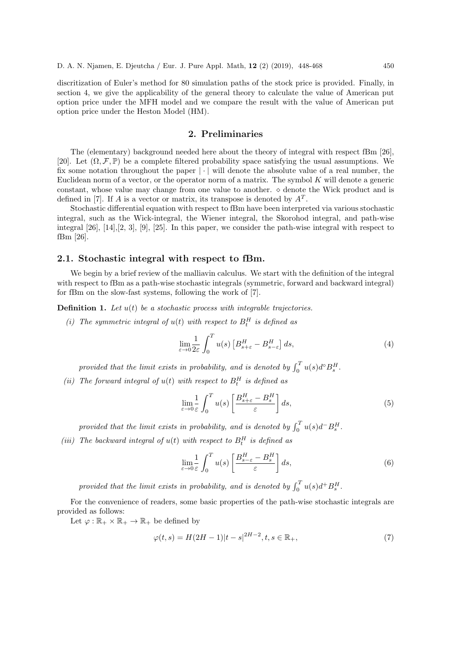discritization of Euler's method for 80 simulation paths of the stock price is provided. Finally, in section 4, we give the applicability of the general theory to calculate the value of American put option price under the MFH model and we compare the result with the value of American put option price under the Heston Model (HM).

## 2. Preliminaries

The (elementary) background needed here about the theory of integral with respect fBm [26], [20]. Let  $(\Omega, \mathcal{F}, \mathbb{P})$  be a complete filtered probability space satisfying the usual assumptions. We fix some notation throughout the paper  $|\cdot|$  will denote the absolute value of a real number, the Euclidean norm of a vector, or the operator norm of a matrix. The symbol  $K$  will denote a generic constant, whose value may change from one value to another.  $\diamond$  denote the Wick product and is defined in [7]. If A is a vector or matrix, its transpose is denoted by  $A<sup>T</sup>$ .

Stochastic differential equation with respect to fBm have been interpreted via various stochastic integral, such as the Wick-integral, the Wiener integral, the Skorohod integral, and path-wise integral [26], [14],[2, 3], [9], [25]. In this paper, we consider the path-wise integral with respect to fBm [26].

#### 2.1. Stochastic integral with respect to fBm.

We begin by a brief review of the malliavin calculus. We start with the definition of the integral with respect to fBm as a path-wise stochastic integrals (symmetric, forward and backward integral) for fBm on the slow-fast systems, following the work of [7].

**Definition 1.** Let  $u(t)$  be a stochastic process with integrable trajectories.

(i) The symmetric integral of  $u(t)$  with respect to  $B_t^H$  is defined as

$$
\lim_{\varepsilon \to 0} \frac{1}{2\varepsilon} \int_0^T u(s) \left[ B_{s+\varepsilon}^H - B_{s-\varepsilon}^H \right] ds,\tag{4}
$$

provided that the limit exists in probability, and is denoted by  $\int_0^T u(s) d^{\circ} B_s^H$ .

(ii) The forward integral of  $u(t)$  with respect to  $B_t^H$  is defined as

$$
\lim_{\varepsilon \to 0} \frac{1}{\varepsilon} \int_0^T u(s) \left[ \frac{B_{s+\varepsilon}^H - B_s^H}{\varepsilon} \right] ds,\tag{5}
$$

provided that the limit exists in probability, and is denoted by  $\int_0^T u(s) d^- B_s^H$ .

(iii) The backward integral of  $u(t)$  with respect to  $B_t^H$  is defined as

$$
\lim_{\varepsilon \to 0} \frac{1}{\varepsilon} \int_0^T u(s) \left[ \frac{B_{s-\varepsilon}^H - B_s^H}{\varepsilon} \right] ds,\tag{6}
$$

provided that the limit exists in probability, and is denoted by  $\int_0^T u(s) d^+ B_s^H$ .

For the convenience of readers, some basic properties of the path-wise stochastic integrals are provided as follows:

Let  $\varphi : \mathbb{R}_+ \times \mathbb{R}_+ \to \mathbb{R}_+$  be defined by

$$
\varphi(t,s) = H(2H - 1)|t - s|^{2H - 2}, t, s \in \mathbb{R}_+, \tag{7}
$$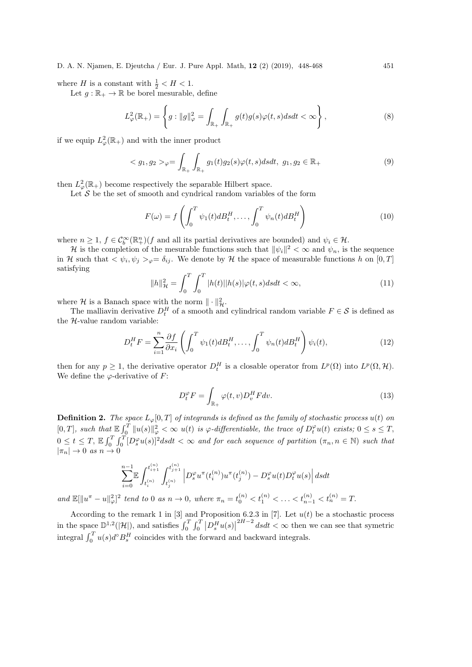where H is a constant with  $\frac{1}{2} < H < 1$ .

Let  $g : \mathbb{R}_+ \to \mathbb{R}$  be borel mesurable, define

$$
L^2_{\varphi}(\mathbb{R}_+) = \left\{ g : ||g||^2_{\varphi} = \int_{\mathbb{R}_+} \int_{\mathbb{R}_+} g(t)g(s)\varphi(t,s)dsdt < \infty \right\},\tag{8}
$$

if we equip  $L^2_{\varphi}(\mathbb{R}_+)$  and with the inner product

$$
\langle g_1, g_2 \rangle_{\varphi} = \int_{\mathbb{R}_+} \int_{\mathbb{R}_+} g_1(t) g_2(s) \varphi(t, s) ds dt, \ g_1, g_2 \in \mathbb{R}_+ \tag{9}
$$

then  $L^2_{\varphi}(\mathbb{R}_+)$  become respectively the separable Hilbert space.

Let  $S$  be the set of smooth and cyndrical random variables of the form

$$
F(\omega) = f\left(\int_0^T \psi_1(t) dB_t^H, \dots, \int_0^T \psi_n(t) dB_t^H\right) \tag{10}
$$

where  $n \geq 1$ ,  $f \in C_b^{\infty}(\mathbb{R}^n_+)(f)$  and all its partial derivatives are bounded) and  $\psi_i \in \mathcal{H}$ .

H is the completion of the mesurable functions such that  $\|\psi_i\|^2 < \infty$  and  $\psi_n$ , is the sequence in H such that  $\langle \psi_i, \psi_j \rangle_{\varphi} = \delta_{ij}$ . We denote by H the space of measurable functions h on [0, T] satisfying

$$
||h||_{\mathcal{H}}^{2} = \int_{0}^{T} \int_{0}^{T} |h(t)| |h(s)| \varphi(t, s) ds dt < \infty,
$$
\n(11)

where H is a Banach space with the norm  $\|\cdot\|_{\mathcal{H}}^2$ .

The malliavin derivative  $D_t^H$  of a smooth and cylindrical random variable  $F \in \mathcal{S}$  is defined as the H-value random variable:

$$
D_t^H F = \sum_{i=1}^n \frac{\partial f}{\partial x_i} \left( \int_0^T \psi_1(t) dB_t^H, \dots, \int_0^T \psi_n(t) dB_t^H \right) \psi_i(t), \tag{12}
$$

then for any  $p \geq 1$ , the derivative operator  $D_t^H$  is a closable operator from  $L^p(\Omega)$  into  $L^p(\Omega, \mathcal{H})$ . We define the  $\varphi$ -derivative of F:

$$
D_t^{\varphi} F = \int_{\mathbb{R}_+} \varphi(t, v) D_v^H F dv.
$$
\n(13)

**Definition 2.** The space  $L_{\varphi}[0,T]$  of integrands is defined as the family of stochastic process  $u(t)$  on  $[0,T]$ , such that  $\mathbb{E} \int_0^T \|u(s)\|_{\varphi}^2 < \infty$  u(t) is  $\varphi$ -differentiable, the trace of  $D_t^{\varphi}u(t)$  exists;  $0 \le s \le T$ ,  $0 \leq t \leq T$ ,  $\mathbb{E} \int_0^T \int_0^T [D_s^{\varphi} u(s)]^2 ds dt < \infty$  and for each sequence of partition  $(\pi_n, n \in \mathbb{N})$  such that  $|\pi_n| \to 0 \text{ as } n \to 0$ 

$$
\sum_{i=0}^{n-1}\mathbb{E}\int_{t_i^{(n)}}^{t_{i+1}^{(n)}}\int_{t_j^{(n)}}^{t_{j+1}^{(n)}}\left|D_s^{\varphi}u^{\pi}(t_i^{(n)})u^{\pi}(t_j^{(n)})-D_s^{\varphi}u(t)D_t^{\varphi}u(s)\right|dsdt\nonumber\\
$$

and  $\mathbb{E}[\|u^{\pi}-u\|_{\varphi}^2]^2$  tend to 0 as  $n \to 0$ , where  $\pi_n = t_0^{(n)} < t_1^{(n)} < \ldots < t_{n-1}^{(n)} < t_n^{(n)} = T$ .

According to the remark 1 in [3] and Proposition 6.2.3 in [7]. Let  $u(t)$  be a stochastic process in the space  $\mathbb{D}^{1,2}(|\mathcal{H}|)$ , and satisfies  $\int_0^T \int_0^T |D_s^H u(s)|$  $2H-2$  dsdt < ∞ then we can see that symetric integral  $\int_0^T u(s)d^{\circ}B_s^H$  coincides with the forward and backward integrals.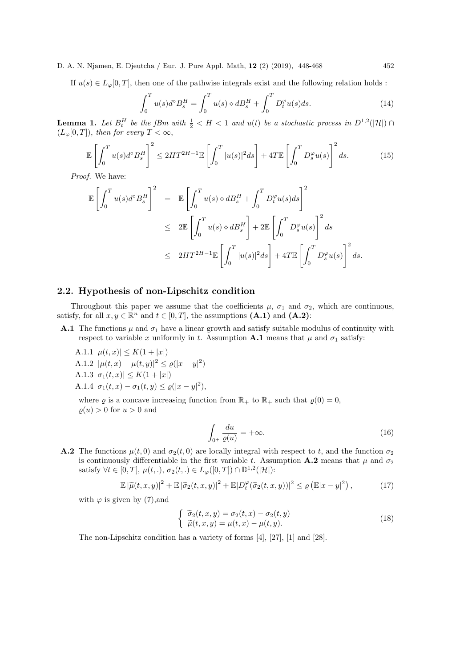If  $u(s) \in L_{\infty}[0,T]$ , then one of the pathwise integrals exist and the following relation holds :

$$
\int_{0}^{T} u(s)d^{s} B_{s}^{H} = \int_{0}^{T} u(s) \diamond dB_{s}^{H} + \int_{0}^{T} D_{t}^{\varphi} u(s) ds.
$$
 (14)

**Lemma 1.** Let  $B_t^H$  be the fBm with  $\frac{1}{2} < H < 1$  and  $u(t)$  be a stochastic process in  $D^{1,2}(|\mathcal{H}|) \cap$  $(L_{\varphi}[0,T]),$  then for every  $T < \infty$ ,

$$
\mathbb{E}\left[\int_0^T u(s)d^{\circ}B_s^H\right]^2 \le 2HT^{2H-1}\mathbb{E}\left[\int_0^T |u(s)|^2ds\right] + 4T\mathbb{E}\left[\int_0^T D_s^{\varphi}u(s)\right]^2ds.
$$
 (15)

Proof. We have:

$$
\mathbb{E}\left[\int_0^T u(s)d^{\circ}B_s^H\right]^2 = \mathbb{E}\left[\int_0^T u(s) \diamond dB_s^H + \int_0^T D_t^{\varphi}u(s)ds\right]^2
$$
  
\n
$$
\leq 2\mathbb{E}\left[\int_0^T u(s) \diamond dB_s^H\right] + 2\mathbb{E}\left[\int_0^T D_s^{\varphi}u(s)\right]^2 ds
$$
  
\n
$$
\leq 2HT^{2H-1}\mathbb{E}\left[\int_0^T |u(s)|^2 ds\right] + 4T\mathbb{E}\left[\int_0^T D_s^{\varphi}u(s)\right]^2 ds.
$$

## 2.2. Hypothesis of non-Lipschitz condition

Throughout this paper we assume that the coefficients  $\mu$ ,  $\sigma_1$  and  $\sigma_2$ , which are continuous, satisfy, for all  $x, y \in \mathbb{R}^n$  and  $t \in [0, T]$ , the assumptions  $(A.1)$  and  $(A.2)$ :

**A.1** The functions  $\mu$  and  $\sigma_1$  have a linear growth and satisfy suitable modulus of continuity with respect to variable x uniformly in t. Assumption A.1 means that  $\mu$  and  $\sigma_1$  satisfy:

A.1.1  $\mu(t,x) \leq K(1+|x|)$ A.1.2  $|\mu(t,x) - \mu(t,y)|^2 \leq \varrho(|x-y|^2)$ A.1.3  $\sigma_1(t, x) \leq K(1 + |x|)$ A.1.4  $\sigma_1(t, x) - \sigma_1(t, y) \leq \varrho(|x - y|^2),$ 

where  $\varrho$  is a concave increasing function from  $\mathbb{R}_+$  to  $\mathbb{R}_+$  such that  $\varrho(0) = 0$ ,  $\rho(u) > 0$  for  $u > 0$  and

$$
\int_{0^+} \frac{du}{\varrho(u)} = +\infty. \tag{16}
$$

**A.2** The functions  $\mu(t, 0)$  and  $\sigma_2(t, 0)$  are locally integral with respect to t, and the function  $\sigma_2$ is continuously differentiable in the first variable t. Assumption A.2 means that  $\mu$  and  $\sigma_2$ satisfy  $\forall t \in [0, T], \mu(t,.)$ ,  $\sigma_2(t,.) \in L_{\varphi}([0, T]) \cap \mathbb{D}^{1,2}(|\mathcal{H}|)$ :

$$
\mathbb{E} |\widetilde{\mu}(t,x,y)|^2 + \mathbb{E} |\widetilde{\sigma}_2(t,x,y)|^2 + \mathbb{E} |D_t^{\varphi}(\widetilde{\sigma}_2(t,x,y))|^2 \leq \varrho \left( \mathbb{E} |x-y|^2 \right), \tag{17}
$$

with  $\varphi$  is given by (7), and

$$
\begin{cases}\n\widetilde{\sigma}_2(t,x,y) = \sigma_2(t,x) - \sigma_2(t,y) \\
\widetilde{\mu}(t,x,y) = \mu(t,x) - \mu(t,y).\n\end{cases}
$$
\n(18)

The non-Lipschitz condition has a variety of forms [4], [27], [1] and [28].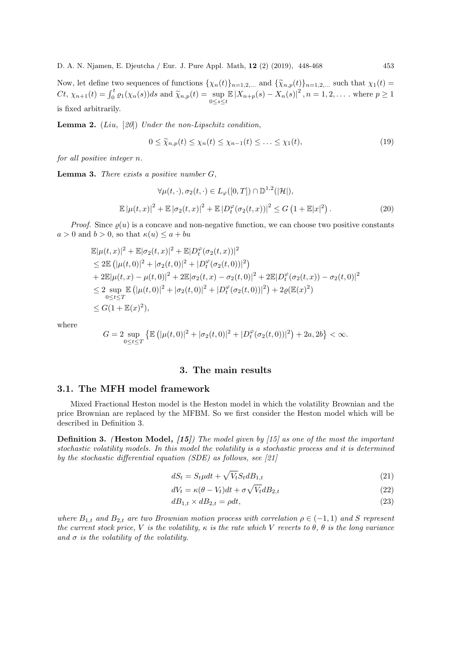Now, let define two sequences of functions  $\{\chi_n(t)\}_{n=1,2,\dots}$  and  $\{\widetilde{\chi}_{n,p}(t)\}_{n=1,2,\dots}$  such that  $\chi_1(t)$  $Ct, \chi_{n+1}(t) = \int_0^t \varrho_1(\chi_n(s))ds$  and  $\widetilde{\chi}_{n,p}(t) = \sup_{0 \le s \le t} \mathbb{E}|X_{n+p}(s) - X_n(s)|^2$ ,  $n = 1, 2, ...$  where  $p \ge 1$ is fixed arbitrarily.

**Lemma 2.** (Liu, [20]) Under the non-Lipschitz condition,

$$
0 \le \widetilde{\chi}_{n,p}(t) \le \chi_n(t) \le \chi_{n-1}(t) \le \ldots \le \chi_1(t), \tag{19}
$$

for all positive integer n.

**Lemma 3.** There exists a positive number  $G$ ,

$$
\forall \mu(t,\cdot), \sigma_2(t,\cdot) \in L_{\varphi}([0,T]) \cap \mathbb{D}^{1,2}(|\mathcal{H}|),
$$
  

$$
\mathbb{E}|\mu(t,x)|^2 + \mathbb{E}|\sigma_2(t,x)|^2 + \mathbb{E}|D_t^{\varphi}(\sigma_2(t,x))|^2 \le G\left(1 + \mathbb{E}|x|^2\right).
$$
 (20)

*Proof.* Since  $\rho(u)$  is a concave and non-negative function, we can choose two positive constants  $a > 0$  and  $b > 0$ , so that  $\kappa(u) \leq a + bu$ 

$$
\mathbb{E}|\mu(t,x)|^2 + \mathbb{E}|\sigma_2(t,x)|^2 + \mathbb{E}|D_t^{\varphi}(\sigma_2(t,x))|^2
$$
\n
$$
\leq 2\mathbb{E}(|\mu(t,0)|^2 + |\sigma_2(t,0)|^2 + |D_t^{\varphi}(\sigma_2(t,0))|^2)
$$
\n
$$
+ 2\mathbb{E}|\mu(t,x) - \mu(t,0)|^2 + 2\mathbb{E}|\sigma_2(t,x) - \sigma_2(t,0)|^2 + 2\mathbb{E}|D_t^{\varphi}(\sigma_2(t,x)) - \sigma_2(t,0)|^2
$$
\n
$$
\leq 2 \sup_{0 \leq t \leq T} \mathbb{E}(|\mu(t,0)|^2 + |\sigma_2(t,0)|^2 + |D_t^{\varphi}(\sigma_2(t,0))|^2) + 2\varrho(\mathbb{E}(x)^2)
$$
\n
$$
\leq G(1 + \mathbb{E}(x)^2),
$$

where

$$
G=2\sup_{0\leq t\leq T}\left\{\mathbb{E}\left(|\mu(t,0)|^2+|\sigma_2(t,0)|^2+|D_t^{\varphi}(\sigma_2(t,0))|^2\right)+2a,2b\right\}<\infty.
$$

# 3. The main results

#### 3.1. The MFH model framework

Mixed Fractional Heston model is the Heston model in which the volatility Brownian and the price Brownian are replaced by the MFBM. So we first consider the Heston model which will be described in Definition 3.

**Definition 3.** (Heston Model,  $(15)$ ) The model given by  $(15)$  as one of the most the important stochastic volatility models. In this model the volatility is a stochastic process and it is determined by the stochastic differential equation (SDE) as follows, see  $[21]$ 

$$
dS_t = S_t \mu dt + \sqrt{V_t} S_t dB_{1,t} \tag{21}
$$

$$
dV_t = \kappa(\theta - V_t)dt + \sigma \sqrt{V_t}dB_{2,t}
$$
\n(22)

$$
dB_{1,t} \times dB_{2,t} = \rho dt,\tag{23}
$$

where  $B_{1,t}$  and  $B_{2,t}$  are two Brownian motion process with correlation  $\rho \in (-1,1)$  and S represent the current stock price, V is the volatility,  $\kappa$  is the rate which V reverts to  $\theta$ ,  $\theta$  is the long variance and  $\sigma$  is the volatility of the volatility.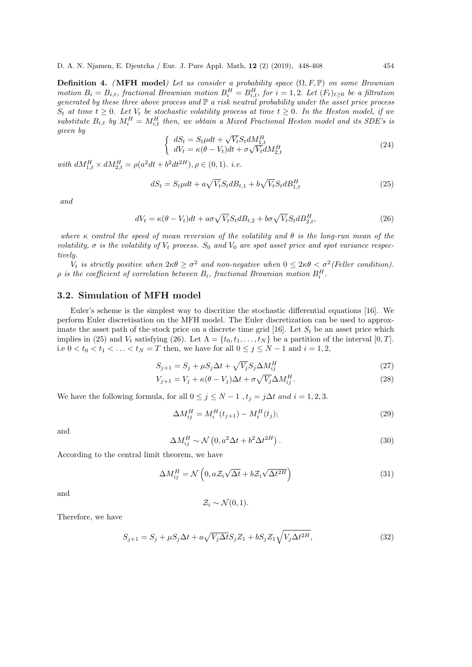**Definition 4.** (MFH model) Let us consider a probability space  $(\Omega, F, \mathbb{P})$  on some Brownian motion  $B_i = B_{i,t}$ , fractional Brownian motion  $B_i^H = B_{i,t}^H$ , for  $i = 1,2$ . Let  $(F_t)_{t \geq 0}$  be a filtration generated by these three above process and  $\mathbb P$  a risk neutral probability under the asset price process  $S_t$  at time  $t \geq 0$ . Let  $V_t$  be stochastic volatility process at time  $t \geq 0$ . In the Heston model, if we substitute  $B_{i,t}$  by  $M_i^H = M_{i,t}^H$  then, we obtain a Mixed Fractional Heston model and its SDE's is given by √

$$
\begin{cases}\ndS_t = S_t \mu dt + \sqrt{V_t} S_t dM_{1,t}^H \\
dV_t = \kappa (\theta - V_t) dt + \sigma \sqrt{V_t} dM_{2,t}^H\n\end{cases}
$$
\n(24)

with  $dM_{1,t}^H \times dM_{2,t}^H = \rho(a^2dt + b^2dt^{2H}), \rho \in (0,1)$ . *i.e.* 

$$
dS_t = S_t \mu dt + a\sqrt{V_t} S_t dB_{t,1} + b\sqrt{V_t} S_t dB_{1,t}^H
$$
\n
$$
(25)
$$

and

$$
dV_t = \kappa(\theta - V_t)dt + a\sigma\sqrt{V_t}S_t dB_{t,2} + b\sigma\sqrt{V_t}S_t dB_{2,t}^H,
$$
\n(26)

where  $\kappa$  control the speed of mean reversion of the volatility and  $\theta$  is the long-run mean of the volatility,  $\sigma$  is the volatility of  $V_t$  process. S<sub>0</sub> and  $V_0$  are spot asset price and spot variance respectively.

V<sub>t</sub> is strictly positive when  $2\kappa\theta \geq \sigma^2$  and non-negative when  $0 \leq 2\kappa\theta < \sigma^2$  (Feller condition).  $\rho$  is the coefficient of correlation between  $B_i$ , fractional Brownian motion  $B_i^H$ .

#### 3.2. Simulation of MFH model

Euler's scheme is the simplest way to discritize the stochastic differential equations [16]. We perform Euler discretisation on the MFH model. The Euler discretization can be used to approximate the asset path of the stock price on a discrete time grid [16]. Let  $S_t$  be an asset price which implies in (25) and  $V_t$  satisfying (26). Let  $\Lambda = \{t_0, t_1, \ldots, t_N\}$  be a partition of the interval  $[0, T]$ . i.e  $0 < t_0 < t_1 < \ldots < t_N = T$  then, we have for all  $0 \le j \le N - 1$  and  $i = 1, 2$ ,

$$
S_{j+1} = S_j + \mu S_j \Delta t + \sqrt{V_j} S_j \Delta M_{ij}^H
$$
\n
$$
(27)
$$

$$
V_{j+1} = V_j + \kappa(\theta - V_j)\Delta t + \sigma \sqrt{V_j} \Delta M_{ij}^H.
$$
\n(28)

We have the following formula, for all  $0 \leq j \leq N-1$ ,  $t_j = j\Delta t$  and  $i = 1, 2, 3$ .

$$
\Delta M_{ij}^H = M_i^H(t_{j+1}) - M_i^H(t_j); \tag{29}
$$

and

$$
\Delta M_{ij}^H \sim \mathcal{N}\left(0, a^2 \Delta t + b^2 \Delta t^{2H}\right). \tag{30}
$$

According to the central limit theorem, we have

$$
\Delta M_{ij}^H = \mathcal{N}\left(0, aZ_i\sqrt{\Delta t} + bZ_i\sqrt{\Delta t^{2H}}\right) \tag{31}
$$

and

$$
\mathcal{Z}_i \sim \mathcal{N}(0,1).
$$

Therefore, we have

$$
S_{j+1} = S_j + \mu S_j \Delta t + a\sqrt{V_j \Delta t} S_j Z_1 + b S_j Z_1 \sqrt{V_j \Delta t^{2H}},\tag{32}
$$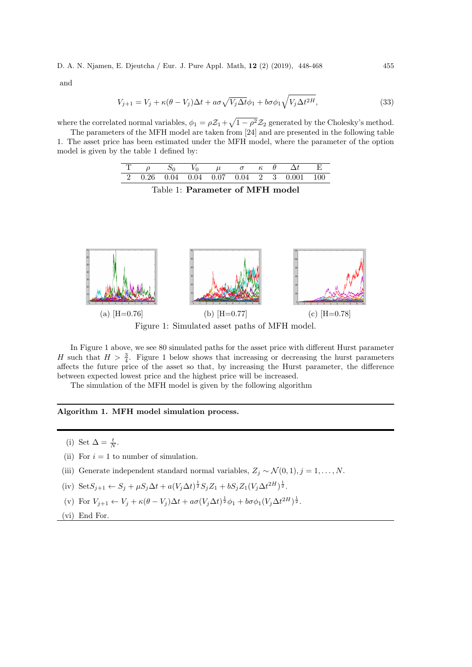and

$$
V_{j+1} = V_j + \kappa(\theta - V_j)\Delta t + a\sigma\sqrt{V_j\Delta t}\phi_1 + b\sigma\phi_1\sqrt{V_j\Delta t^{2H}},\tag{33}
$$

where the correlated normal variables,  $\phi_1 = \rho \mathcal{Z}_1 + \sqrt{1 - \rho^2} \mathcal{Z}_2$  generated by the Cholesky's method.

The parameters of the MFH model are taken from [24] and are presented in the following table 1. The asset price has been estimated under the MFH model, where the parameter of the option model is given by the table 1 defined by:

|  |  |  |  | $T \rho$ $S_0$ $V_0$ $\mu$ $\sigma$ $\kappa$ $\theta$ $\Delta t$ E |  |
|--|--|--|--|--------------------------------------------------------------------|--|
|  |  |  |  | 2 0.26 0.04 0.04 0.07 0.04 2 3 0.001 100                           |  |

Table 1: Parameter of MFH model



In Figure 1 above, we see 80 simulated paths for the asset price with different Hurst parameter H such that  $H > \frac{3}{4}$ . Figure 1 below shows that increasing or decreasing the hurst parameters affects the future price of the asset so that, by increasing the Hurst parameter, the difference between expected lowest price and the highest price will be increased.

The simulation of the MFH model is given by the following algorithm

#### Algorithm 1. MFH model simulation process.

- (i) Set  $\Delta = \frac{t}{N}$ .
- (ii) For  $i = 1$  to number of simulation.
- (iii) Generate independent standard normal variables,  $Z_j \sim \mathcal{N}(0, 1), j = 1, \ldots, N$ .

(iv) Set 
$$
S_{j+1} \leftarrow S_j + \mu S_j \Delta t + a(V_j \Delta t)^{\frac{1}{2}} S_j Z_1 + b S_j Z_1 (V_j \Delta t^{2H})^{\frac{1}{2}}
$$
.

(v) For  $V_{j+1} \leftarrow V_j + \kappa(\theta - V_j)\Delta t + a\sigma(V_j\Delta t)^{\frac{1}{2}}\phi_1 + b\sigma\phi_1(V_j\Delta t^{2H})^{\frac{1}{2}}.$ 

(vi) End For.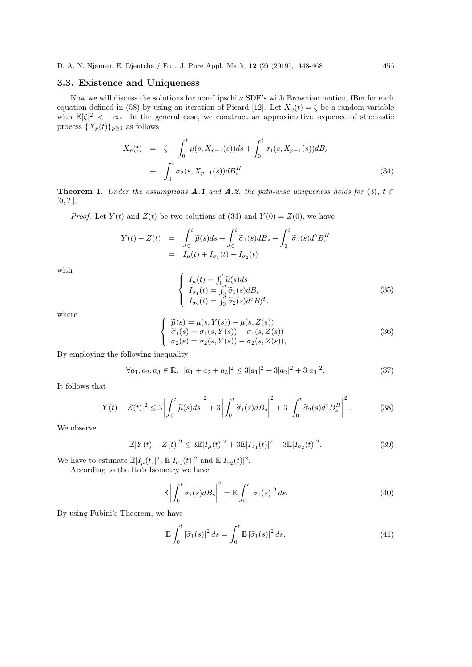# 3.3. Existence and Uniqueness

Now we will discuss the solutions for non-Lipschitz SDE's with Brownian motion, fBm for each equation defined in (58) by using an iteration of Picard [12]. Let  $X_0(t) = \zeta$  be a random variable with  $\mathbb{E}|\zeta|^2 < +\infty$ . In the general case, we construct an approximative sequence of stochastic process  $\{X_p(t)\}_{p\geq 1}$  as follows

$$
X_p(t) = \zeta + \int_0^t \mu(s, X_{p-1}(s))ds + \int_0^t \sigma_1(s, X_{p-1}(s))dB_s
$$
  
+ 
$$
\int_0^t \sigma_2(s, X_{p-1}(s))dB_s^H.
$$
 (34)

**Theorem 1.** Under the assumptions **A.1** and **A.2**, the path-wise uniqueness holds for (3),  $t \in$  $[0, T].$ 

*Proof.* Let  $Y(t)$  and  $Z(t)$  be two solutions of (34) and  $Y(0) = Z(0)$ , we have

$$
Y(t) - Z(t) = \int_0^t \widetilde{\mu}(s)ds + \int_0^t \widetilde{\sigma}_1(s)dB_s + \int_0^t \widetilde{\sigma}_2(s)d^{\circ}B_s^H
$$
  
=  $I_{\mu}(t) + I_{\sigma_1}(t) + I_{\sigma_2}(t)$ 

with

$$
\begin{cases}\nI_{\mu}(t) = \int_0^t \tilde{\mu}(s)ds \\
I_{\sigma_1}(t) = \int_0^t \tilde{\sigma}_1(s)dB_s \\
I_{\sigma_2}(t) = \int_0^t \tilde{\sigma}_2(s)d^{\circ}B_s^H.\n\end{cases}
$$
\n(35)

where

$$
\begin{cases}\n\widetilde{\mu}(s) = \mu(s, Y(s)) - \mu(s, Z(s)) \\
\widetilde{\sigma}_1(s) = \sigma_1(s, Y(s)) - \sigma_1(s, Z(s)) \\
\widetilde{\sigma}_2(s) = \sigma_2(s, Y(s)) - \sigma_2(s, Z(s)),\n\end{cases}
$$
\n(36)

By employing the following inequality

$$
\forall a_1, a_2, a_3 \in \mathbb{R}, \ |a_1 + a_2 + a_3|^2 \le 3|a_1|^2 + 3|a_2|^2 + 3|a_3|^2. \tag{37}
$$

It follows that

$$
|Y(t) - Z(t)|^2 \le 3\left|\int_0^t \widetilde{\mu}(s)ds\right|^2 + 3\left|\int_0^t \widetilde{\sigma}_1(s)dB_s\right|^2 + 3\left|\int_0^t \widetilde{\sigma}_2(s)d^{\circ}B_s^H\right|^2. \tag{38}
$$

We observe

$$
\mathbb{E}|Y(t) - Z(t)|^2 \le 3\mathbb{E}|I_{\mu}(t)|^2 + 3\mathbb{E}|I_{\sigma_1}(t)|^2 + 3\mathbb{E}|I_{\sigma_2}(t)|^2.
$$
 (39)

We have to estimate  $\mathbb{E}|I_{\mu}(t)|^2$ ,  $\mathbb{E}|I_{\sigma_1}(t)|^2$  and  $\mathbb{E}|I_{\sigma_2}(t)|^2$ .

According to the Ito's Isometry we have

$$
\mathbb{E}\left|\int_0^t \widetilde{\sigma}_1(s)dB_s\right|^2 = \mathbb{E}\int_0^t |\widetilde{\sigma}_1(s)|^2 ds.
$$
 (40)

By using Fubini's Theorem, we have

$$
\mathbb{E}\int_0^t |\tilde{\sigma}_1(s)|^2 ds = \int_0^t \mathbb{E}|\tilde{\sigma}_1(s)|^2 ds.
$$
\n(41)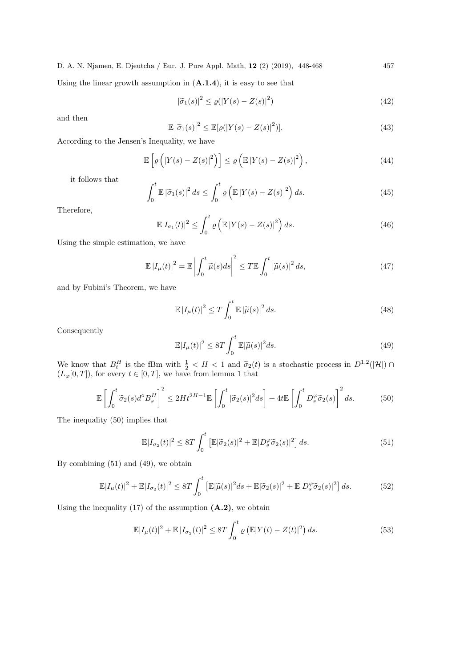Using the linear growth assumption in  $(A.1.4)$ , it is easy to see that

$$
|\tilde{\sigma}_1(s)|^2 \le \varrho(|Y(s) - Z(s)|^2)
$$
\n(42)

and then

$$
\mathbb{E}|\tilde{\sigma}_1(s)|^2 \le \mathbb{E}[\varrho(|Y(s) - Z(s)|^2)].\tag{43}
$$

According to the Jensen's Inequality, we have

$$
\mathbb{E}\left[\varrho\left(\left|Y(s)-Z(s)\right|^2\right)\right] \leq \varrho\left(\mathbb{E}\left|Y(s)-Z(s)\right|^2\right),\tag{44}
$$

it follows that

$$
\int_0^t \mathbb{E} |\tilde{\sigma}_1(s)|^2 ds \le \int_0^t \varrho \left( \mathbb{E} |Y(s) - Z(s)|^2 \right) ds. \tag{45}
$$

Therefore,

$$
\mathbb{E}|I_{\sigma_1}(t)|^2 \le \int_0^t \varrho \left(\mathbb{E}|Y(s) - Z(s)|^2\right) ds. \tag{46}
$$

Using the simple estimation, we have

$$
\mathbb{E}\left|I_{\mu}(t)\right|^2 = \mathbb{E}\left|\int_0^t \widetilde{\mu}(s)ds\right|^2 \le T \mathbb{E}\int_0^t \left|\widetilde{\mu}(s)\right|^2 ds,\tag{47}
$$

and by Fubini's Theorem, we have

$$
\mathbb{E}\left|I_{\mu}(t)\right|^2 \le T \int_0^t \mathbb{E}\left|\widetilde{\mu}(s)\right|^2 ds. \tag{48}
$$

Consequently

$$
\mathbb{E}|I_{\mu}(t)|^{2} \leq 8T \int_{0}^{t} \mathbb{E}|\widetilde{\mu}(s)|^{2} ds.
$$
\n(49)

We know that  $B_t^H$  is the fBm with  $\frac{1}{2} < H < 1$  and  $\tilde{\sigma}_2(t)$  is a stochastic process in  $D^{1,2}(|\mathcal{H}|) \cap$ <br>(L [0, T]) for given  $t \in [0, T]$  we have from longer 1 that  $(L_\varphi[0,T])$ , for every  $t \in [0,T]$ , we have from lemma 1 that

$$
\mathbb{E}\left[\int_0^t \widetilde{\sigma}_2(s)d^\circ B_s^H\right]^2 \le 2Ht^{2H-1}\mathbb{E}\left[\int_0^t |\widetilde{\sigma}_2(s)|^2 ds\right] + 4t\mathbb{E}\left[\int_0^t D_s^\varphi \widetilde{\sigma}_2(s)\right]^2 ds. \tag{50}
$$

The inequality (50) implies that

$$
\mathbb{E}|I_{\sigma_2}(t)|^2 \le 8T \int_0^t \left[ \mathbb{E}|\tilde{\sigma}_2(s)|^2 + \mathbb{E}|D_s^{\varphi}\tilde{\sigma}_2(s)|^2 \right] ds.
$$
 (51)

By combining (51) and (49), we obtain

$$
\mathbb{E}|I_{\mu}(t)|^{2} + \mathbb{E}|I_{\sigma_{2}}(t)|^{2} \leq 8T \int_{0}^{t} \left[\mathbb{E}|\widetilde{\mu}(s)|^{2}ds + \mathbb{E}|\widetilde{\sigma}_{2}(s)|^{2} + \mathbb{E}|D_{s}^{\varphi}\widetilde{\sigma}_{2}(s)|^{2}\right]ds.
$$
 (52)

Using the inequality  $(17)$  of the assumption  $(A.2)$ , we obtain

$$
\mathbb{E}|I_{\mu}(t)|^{2} + \mathbb{E}|I_{\sigma_{2}}(t)|^{2} \leq 8T \int_{0}^{t} \varrho \left(\mathbb{E}|Y(t) - Z(t)|^{2}\right) ds.
$$
 (53)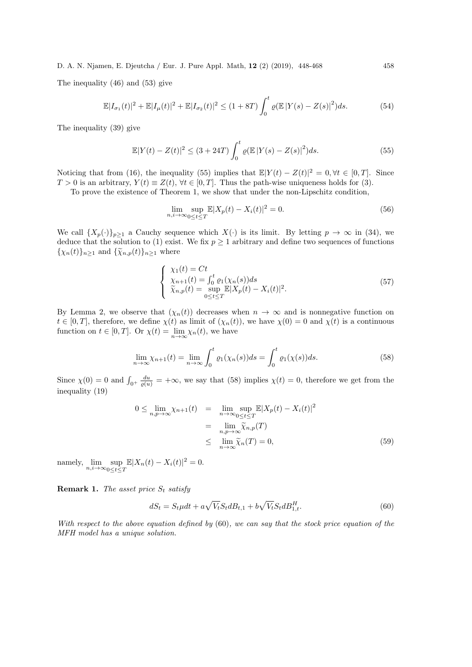The inequality (46) and (53) give

$$
\mathbb{E}|I_{\sigma_1}(t)|^2 + \mathbb{E}|I_{\mu}(t)|^2 + \mathbb{E}|I_{\sigma_2}(t)|^2 \le (1+8T) \int_0^t \varrho(\mathbb{E}|Y(s)-Z(s)|^2)ds.
$$
 (54)

The inequality (39) give

$$
\mathbb{E}|Y(t) - Z(t)|^2 \le (3 + 24T) \int_0^t \varrho(\mathbb{E}|Y(s) - Z(s)|^2) ds.
$$
 (55)

Noticing that from (16), the inequality (55) implies that  $\mathbb{E}|Y(t) - Z(t)|^2 = 0, \forall t \in [0, T]$ . Since  $T > 0$  is an arbitrary,  $Y(t) \equiv Z(t)$ ,  $\forall t \in [0, T]$ . Thus the path-wise uniqueness holds for (3).

To prove the existence of Theorem 1, we show that under the non-Lipschitz condition,

$$
\lim_{n,i \to \infty} \sup_{0 \le t \le T} \mathbb{E}|X_p(t) - X_i(t)|^2 = 0.
$$
\n(56)

We call  $\{X_p(\cdot)\}_{p\geq 1}$  a Cauchy sequence which  $X(\cdot)$  is its limit. By letting  $p \to \infty$  in (34), we deduce that the solution to (1) exist. We fix  $p \ge 1$  arbitrary and define two sequences of functions  ${\{\chi_n(t)\}_{n\geq 1}}$  and  ${\{\widetilde{\chi}_{n,p}(t)\}_{n\geq 1}}$  where

$$
\begin{cases}\n\chi_1(t) = Ct \\
\chi_{n+1}(t) = \int_0^t \varrho_1(\chi_n(s))ds \\
\widetilde{\chi}_{n,p}(t) = \sup_{0 \le t \le T} \mathbb{E}|X_p(t) - X_i(t)|^2.\n\end{cases} (57)
$$

By Lemma 2, we observe that  $(\chi_n(t))$  decreases when  $n \to \infty$  and is nonnegative function on  $t \in [0, T]$ , therefore, we define  $\chi(t)$  as limit of  $(\chi_n(t))$ , we have  $\chi(0) = 0$  and  $\chi(t)$  is a continuous function on  $t \in [0, T]$ . Or  $\chi(t) = \lim_{n \to \infty} \chi_n(t)$ , we have

$$
\lim_{n \to \infty} \chi_{n+1}(t) = \lim_{n \to \infty} \int_0^t \varrho_1(\chi_n(s)) ds = \int_0^t \varrho_1(\chi(s)) ds.
$$
\n(58)

Since  $\chi(0) = 0$  and  $\int_{0^+} \frac{du}{\varrho(u)} = +\infty$ , we say that (58) implies  $\chi(t) = 0$ , therefore we get from the inequality (19)

$$
0 \leq \lim_{n,p \to \infty} \chi_{n+1}(t) = \lim_{n \to \infty} \sup_{0 \leq t \leq T} \mathbb{E}|X_p(t) - X_i(t)|^2
$$
  
= 
$$
\lim_{n,p \to \infty} \widetilde{\chi}_{n,p}(T)
$$
  

$$
\leq \lim_{n \to \infty} \widetilde{\chi}_n(T) = 0,
$$
 (59)

namely,  $\lim_{n,i\to\infty} \sup_{0\leq t\leq T} \mathbb{E}|X_n(t) - X_i(t)|^2 = 0.$ 

**Remark 1.** The asset price  $S_t$  satisfy

$$
dS_t = S_t \mu dt + a\sqrt{V_t} S_t dB_{t,1} + b\sqrt{V_t} S_t dB_{1,t}^H. \tag{60}
$$

With respect to the above equation defined by (60), we can say that the stock price equation of the MFH model has a unique solution.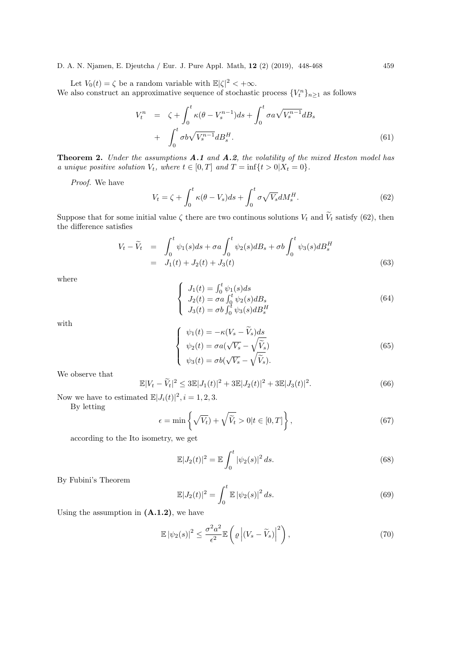Let  $V_0(t) = \zeta$  be a random variable with  $\mathbb{E}|\zeta|^2 < +\infty$ . We also construct an approximative sequence of stochastic process  ${V_t^n}_{n \geq 1}$  as follows

$$
V_t^n = \zeta + \int_0^t \kappa(\theta - V_s^{n-1}) ds + \int_0^t \sigma a \sqrt{V_s^{n-1}} dB_s
$$
  
+ 
$$
\int_0^t \sigma b \sqrt{V_s^{n-1}} dB_s^H.
$$
 (61)

Theorem 2. Under the assumptions A.1 and A.2, the volatility of the mixed Heston model has a unique positive solution  $V_t$ , where  $t \in [0, T]$  and  $T = \inf\{t > 0 | X_t = 0\}.$ 

Proof. We have

$$
V_t = \zeta + \int_0^t \kappa(\theta - V_s)ds + \int_0^t \sigma \sqrt{V_s}dM_s^H.
$$
\n(62)

Suppose that for some initial value  $\zeta$  there are two continous solutions  $V_t$  and  $\tilde{V}_t$  satisfy (62), then the difference satisfies

$$
V_t - \widetilde{V}_t = \int_0^t \psi_1(s)ds + \sigma a \int_0^t \psi_2(s)dB_s + \sigma b \int_0^t \psi_3(s)dB_s^H
$$
  
=  $J_1(t) + J_2(t) + J_3(t)$  (63)

where

$$
\begin{cases}\nJ_1(t) = \int_0^t \psi_1(s)ds \\
J_2(t) = \sigma a \int_0^t \psi_2(s)dB_s \\
J_3(t) = \sigma b \int_0^t \psi_3(s)dB_s^H\n\end{cases}
$$
\n(64)

with

$$
\begin{cases}\n\psi_1(t) = -\kappa (V_s - \widetilde{V}_s) ds \\
\psi_2(t) = \sigma a(\sqrt{V_s} - \sqrt{\widetilde{V}_s}) \\
\psi_3(t) = \sigma b(\sqrt{V_s} - \sqrt{\widetilde{V}_s}).\n\end{cases}
$$
\n(65)

We observe that

$$
\mathbb{E}|V_t - \widetilde{V}_t|^2 \le 3\mathbb{E}|J_1(t)|^2 + 3\mathbb{E}|J_2(t)|^2 + 3\mathbb{E}|J_3(t)|^2.
$$
\n(66)

Now we have to estimated  $\mathbb{E}|J_i(t)|^2$ ,  $i=1,2,3$ .

By letting

$$
\epsilon = \min\left\{\sqrt{V_t}\right\} + \sqrt{\widetilde{V}_t} > 0 \mid t \in [0, T]\right\},\tag{67}
$$

according to the Ito isometry, we get

$$
\mathbb{E}|J_2(t)|^2 = \mathbb{E}\int_0^t |\psi_2(s)|^2 ds.
$$
\n(68)

By Fubini's Theorem

$$
\mathbb{E}|J_2(t)|^2 = \int_0^t \mathbb{E} |\psi_2(s)|^2 ds.
$$
 (69)

Using the assumption in  $(A.1.2)$ , we have

$$
\mathbb{E} |\psi_2(s)|^2 \le \frac{\sigma^2 a^2}{\epsilon^2} \mathbb{E} \left( \varrho \left| (V_s - \widetilde{V}_s) \right|^2 \right),\tag{70}
$$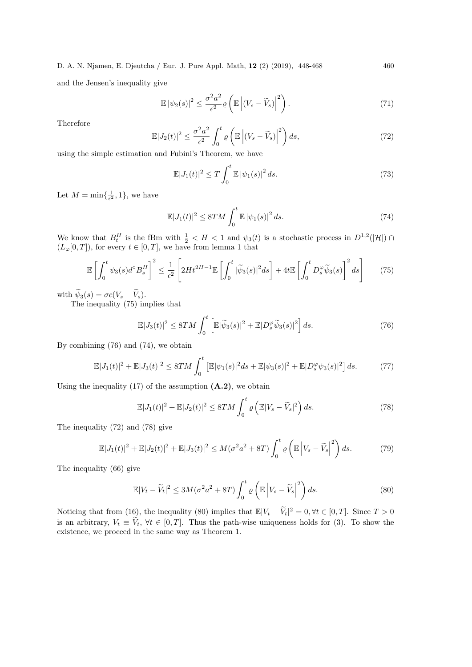and the Jensen's inequality give

$$
\mathbb{E} |\psi_2(s)|^2 \le \frac{\sigma^2 a^2}{\epsilon^2} \varrho \left( \mathbb{E} \left| (V_s - \widetilde{V}_s) \right|^2 \right). \tag{71}
$$

Therefore

$$
\mathbb{E}|J_2(t)|^2 \le \frac{\sigma^2 a^2}{\epsilon^2} \int_0^t \varrho \left(\mathbb{E}\left|\left(V_s - \widetilde{V}_s\right)\right|^2\right) ds,\tag{72}
$$

using the simple estimation and Fubini's Theorem, we have

$$
\mathbb{E}|J_1(t)|^2 \le T \int_0^t \mathbb{E} |\psi_1(s)|^2 ds. \tag{73}
$$

Let  $M = \min\{\frac{1}{\epsilon^2}, 1\}$ , we have

$$
\mathbb{E}|J_1(t)|^2 \le 8TM \int_0^t \mathbb{E}|\psi_1(s)|^2 ds. \tag{74}
$$

We know that  $B_t^H$  is the fBm with  $\frac{1}{2} < H < 1$  and  $\psi_3(t)$  is a stochastic process in  $D^{1,2}(|\mathcal{H}|) \cap$  $(L_\varphi[0,T])$ , for every  $t \in [0,T]$ , we have from lemma 1 that

$$
\mathbb{E}\left[\int_0^t \psi_3(s)d^\circ B_s^H\right]^2 \le \frac{1}{\epsilon^2} \left[2Ht^{2H-1}\mathbb{E}\left[\int_0^t |\widetilde{\psi}_3(s)|^2 ds\right] + 4t\mathbb{E}\left[\int_0^t D_s^\varphi \widetilde{\psi}_3(s)\right]^2 ds\right] \tag{75}
$$

with  $\widetilde{\psi}_3(s) = \sigma c (V_s - \widetilde{V}_s).$ 

The inequality (75) implies that

$$
\mathbb{E}|J_3(t)|^2 \leq 8TM \int_0^t \left[ \mathbb{E}|\widetilde{\psi}_3(s)|^2 + \mathbb{E}|D_s^{\varphi}\widetilde{\psi}_3(s)|^2 \right] ds.
$$
 (76)

By combining (76) and (74), we obtain

$$
\mathbb{E}|J_1(t)|^2 + \mathbb{E}|J_3(t)|^2 \le 8TM \int_0^t \left[ \mathbb{E}|\psi_1(s)|^2 ds + \mathbb{E}|\psi_3(s)|^2 + \mathbb{E}|D_s^{\varphi}\psi_3(s)|^2 \right] ds.
$$
 (77)

Using the inequality  $(17)$  of the assumption  $(A.2)$ , we obtain

$$
\mathbb{E}|J_1(t)|^2 + \mathbb{E}|J_2(t)|^2 \leq 8TM \int_0^t \varrho \left(\mathbb{E}|V_s - \widetilde{V}_s|^2\right) ds. \tag{78}
$$

The inequality (72) and (78) give

$$
\mathbb{E}|J_1(t)|^2 + \mathbb{E}|J_2(t)|^2 + \mathbb{E}|J_3(t)|^2 \le M(\sigma^2 a^2 + 8T) \int_0^t \varrho \left(\mathbb{E}\left|V_s - \widetilde{V}_s\right|^2\right) ds. \tag{79}
$$

The inequality (66) give

$$
\mathbb{E}|V_t - \widetilde{V}_t|^2 \le 3M(\sigma^2 a^2 + 8T) \int_0^t \varrho \left(\mathbb{E}\left|V_s - \widetilde{V}_s\right|^2\right) ds. \tag{80}
$$

Noticing that from (16), the inequality (80) implies that  $\mathbb{E}|V_t - \widetilde{V}_t|^2 = 0, \forall t \in [0, T]$ . Since  $T > 0$ is an arbitrary,  $V_t \equiv \tilde{V}_t$ ,  $\forall t \in [0, T]$ . Thus the path-wise uniqueness holds for (3). To show the existence, we proceed in the same way as Theorem 1.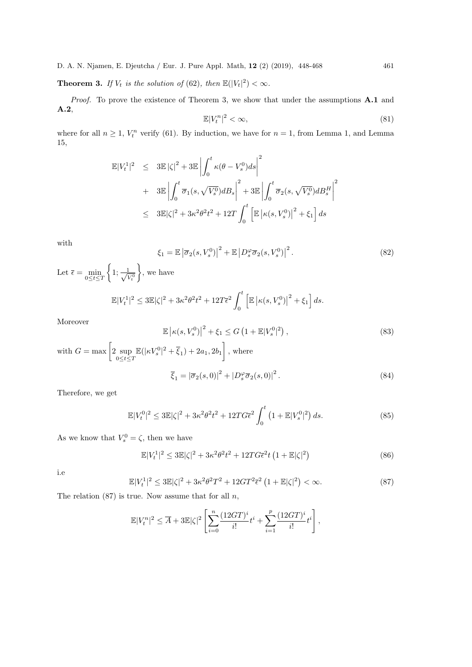**Theorem 3.** If  $V_t$  is the solution of (62), then  $\mathbb{E}(|V_t|^2) < \infty$ .

Proof. To prove the existence of Theorem 3, we show that under the assumptions A.1 and A.2,  $\mathbb{E}|V_t^n|^2 < \infty,$  (81)

where for all  $n \geq 1$ ,  $V_t^n$  verify (61). By induction, we have for  $n = 1$ , from Lemma 1, and Lemma 15,

$$
\mathbb{E}|V_t^1|^2 \leq 3\mathbb{E}|\zeta|^2 + 3\mathbb{E}\left|\int_0^t \kappa(\theta - V_s^0)ds\right|^2
$$
  
+ 
$$
3\mathbb{E}\left|\int_0^t \overline{\sigma}_1(s, \sqrt{V_s^0})dB_s\right|^2 + 3\mathbb{E}\left|\int_0^t \overline{\sigma}_2(s, \sqrt{V_s^0})dB_s^H\right|^2
$$
  

$$
\leq 3\mathbb{E}|\zeta|^2 + 3\kappa^2\theta^2t^2 + 12T\int_0^t \left[\mathbb{E}|\kappa(s, V_s^0)|^2 + \xi_1\right]ds
$$

with

$$
\xi_1 = \mathbb{E} \left| \overline{\sigma}_2(s, V_s^0) \right|^2 + \mathbb{E} \left| D_s^{\varphi} \overline{\sigma}_2(s, V_s^0) \right|^2.
$$
 (82)

Let  $\overline{\epsilon} = \min_{0 \leq t \leq T}$  $\{1; \frac{1}{\sqrt{5}}\}$  $V^0_t$  $\Big\}$ , we have

$$
\mathbb{E}|V_t^1|^2 \le 3\mathbb{E}|\zeta|^2 + 3\kappa^2\theta^2t^2 + 12T\bar{\epsilon}^2 \int_0^t \left[\mathbb{E}\left|\kappa(s,V_s^0)\right|^2 + \xi_1\right]ds.
$$

Moreover

$$
\mathbb{E}\left|\kappa(s, V_s^0)\right|^2 + \xi_1 \le G\left(1 + \mathbb{E}|V_s^0|^2\right),\tag{83}
$$
  
with  $G = \max\left[2 \sup_{0 \le t \le T} \mathbb{E}(|\kappa V_s^0|^2 + \overline{\xi}_1) + 2a_1, 2b_1\right],$  where  

$$
\overline{\xi}_1 = |\overline{\sigma}_2(s, 0)|^2 + |D_s^{\varphi}\overline{\sigma}_2(s, 0)|^2.
$$
 (84)

Therefore, we get

$$
\mathbb{E}|V_t^0|^2 \le 3\mathbb{E}|\zeta|^2 + 3\kappa^2\theta^2 t^2 + 12TG\overline{\epsilon}^2 \int_0^t \left(1 + \mathbb{E}|V_s^0|^2\right) ds. \tag{85}
$$

As we know that  $V_s^0 = \zeta$ , then we have

$$
\mathbb{E}|V_t^1|^2 \le 3\mathbb{E}|\zeta|^2 + 3\kappa^2\theta^2t^2 + 12TG\bar{\epsilon}^2t\left(1 + \mathbb{E}|\zeta|^2\right) \tag{86}
$$

i.e

$$
\mathbb{E}|V_t^1|^2 \le 3\mathbb{E}|\zeta|^2 + 3\kappa^2\theta^2T^2 + 12GT^2\bar{\epsilon}^2\left(1 + \mathbb{E}|\zeta|^2\right) < \infty. \tag{87}
$$

The relation  $(87)$  is true. Now assume that for all  $n$ ,

$$
\mathbb{E}|V_t^n|^2 \le \overline{A} + 3\mathbb{E}|\zeta|^2 \left[ \sum_{i=0}^n \frac{(12GT)^i}{i!} t^i + \sum_{i=1}^p \frac{(12GT)^i}{i!} t^i \right],
$$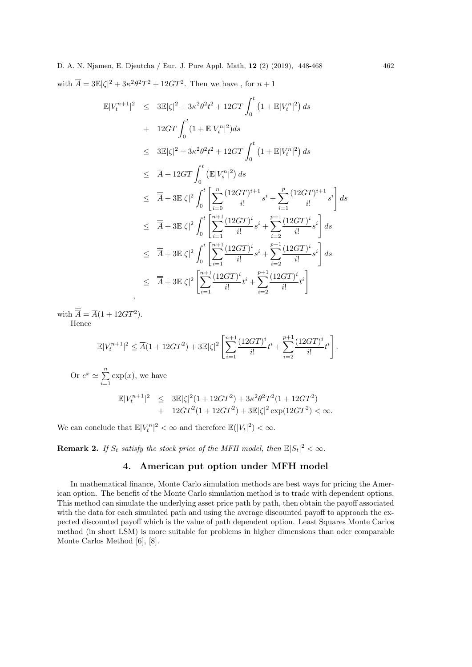D. A. N. Njamen, E. Djeutcha / Eur. J. Pure Appl. Math, 12 (2) (2019), 448-468 462 with  $\overline{A} = 3\mathbb{E}|\zeta|^2 + 3\kappa^2\theta^2T^2 + 12GT^2$ . Then we have, for  $n+1$ 

$$
\mathbb{E}|V_t^{n+1}|^2 \leq 3\mathbb{E}|\zeta|^2 + 3\kappa^2\theta^2t^2 + 12GT \int_0^t \left(1 + \mathbb{E}|V_t^n|^2\right) ds \n+ 12GT \int_0^t (1 + \mathbb{E}|V_t^n|^2) ds \n\leq 3\mathbb{E}|\zeta|^2 + 3\kappa^2\theta^2t^2 + 12GT \int_0^t \left(1 + \mathbb{E}|V_t^n|^2\right) ds \n\leq \overline{A} + 12GT \int_0^t \left(\mathbb{E}|V_s^n|^2\right) ds \n\leq \overline{A} + 3\mathbb{E}|\zeta|^2 \int_0^t \left[\sum_{i=0}^n \frac{(12GT)^{i+1}}{i!} s^i + \sum_{i=1}^p \frac{(12GT)^{i+1}}{i!} s^i\right] ds \n\leq \overline{A} + 3\mathbb{E}|\zeta|^2 \int_0^t \left[\sum_{i=1}^{n+1} \frac{(12GT)^i}{i!} s^i + \sum_{i=2}^{p+1} \frac{(12GT)^i}{i!} s^i\right] ds \n\leq \overline{A} + 3\mathbb{E}|\zeta|^2 \int_0^t \left[\sum_{i=1}^{n+1} \frac{(12GT)^i}{i!} s^i + \sum_{i=2}^{p+1} \frac{(12GT)^i}{i!} s^i\right] ds \n\leq \overline{A} + 3\mathbb{E}|\zeta|^2 \left[\sum_{i=1}^{n+1} \frac{(12GT)^i}{i!} t^i + \sum_{i=2}^{p+1} \frac{(12GT)^i}{i!} t^i\right]
$$

with  $\overline{A} = \overline{A}(1 + 12GT^2)$ . Hence

$$
\mathbb{E}|V_t^{n+1}|^2 \le \overline{A}(1+12GT^2)+3\mathbb{E}|\zeta|^2 \left[\sum_{i=1}^{n+1} \frac{(12GT)^i}{i!}t^i+\sum_{i=2}^{p+1} \frac{(12GT)^i}{i!}t^i\right].
$$

Or  $e^x \simeq \sum^n$  $i=1$  $\exp(x)$ , we have

$$
\mathbb{E}|V_t^{n+1}|^2 \leq 3\mathbb{E}|\zeta|^2(1+12GT^2)+3\kappa^2\theta^2T^2(1+12GT^2) + 12GT^2(1+12GT^2)+3\mathbb{E}|\zeta|^2\exp(12GT^2)<\infty.
$$

We can conclude that  $\mathbb{E}|V_t^n|^2 < \infty$  and therefore  $\mathbb{E}(|V_t|^2) < \infty$ .

**Remark 2.** If  $S_t$  satisfy the stock price of the MFH model, then  $\mathbb{E}|S_t|^2 < \infty$ .

# 4. American put option under MFH model

In mathematical finance, Monte Carlo simulation methods are best ways for pricing the American option. The benefit of the Monte Carlo simulation method is to trade with dependent options. This method can simulate the underlying asset price path by path, then obtain the payoff associated with the data for each simulated path and using the average discounted payoff to approach the expected discounted payoff which is the value of path dependent option. Least Squares Monte Carlos method (in short LSM) is more suitable for problems in higher dimensions than oder comparable Monte Carlos Method [6], [8].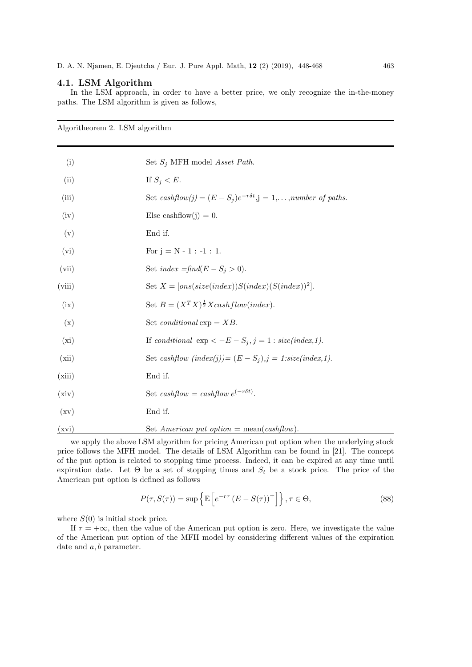## 4.1. LSM Algorithm

In the LSM approach, in order to have a better price, we only recognize the in-the-money paths. The LSM algorithm is given as follows,

Algoritheorem 2. LSM algorithm (i) Set  $S_i$  MFH model Asset Path. (ii) If  $S_i < E$ . (iii) Set  $cashflow(j) = (E - S_j)e^{-r\delta t}$ ,  $j = 1,...,number$  of paths. (iv) Else cashflow(j) = 0. (v) End if. (vi) For  $j = N - 1 : -1 : 1$ . (vii) Set  $index = \text{find}(E - S_i > 0)$ . (viii) Set  $X = [ons(size(index))S(index)(S(index))^{2}].$ (ix) Set  $B = (X^T X)^{\frac{1}{2}} X \text{cashflow}(index)$ . (x) Set *conditional*  $exp = XB$ . (xi) If conditional  $\exp < -E - S_j$ , j = 1 : size(index, 1). (xii) Set cashflow  $(index(j)) = (E - S_j), j = 1:size(index,1).$ (xiii) End if. (xiv) Set cashflow = cashflow  $e^{(-r\delta t)}$ . (xv) End if. (xvi) Set American put option = mean(cashflow).

we apply the above LSM algorithm for pricing American put option when the underlying stock price follows the MFH model. The details of LSM Algorithm can be found in [21]. The concept of the put option is related to stopping time process. Indeed, it can be expired at any time until expiration date. Let  $\Theta$  be a set of stopping times and  $S_t$  be a stock price. The price of the American put option is defined as follows

$$
P(\tau, S(\tau)) = \sup \left\{ \mathbb{E} \left[ e^{-r\tau} \left( E - S(\tau) \right)^+ \right] \right\}, \tau \in \Theta,
$$
\n(88)

where  $S(0)$  is initial stock price.

If  $\tau = +\infty$ , then the value of the American put option is zero. Here, we investigate the value of the American put option of the MFH model by considering different values of the expiration date and  $a, b$  parameter.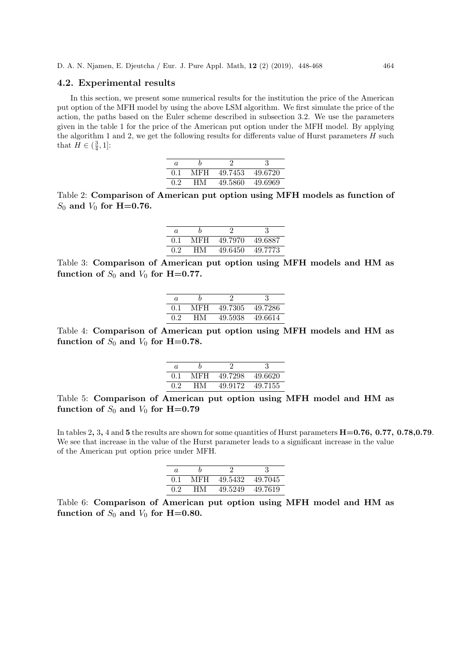#### 4.2. Experimental results

In this section, we present some numerical results for the institution the price of the American put option of the MFH model by using the above LSM algorithm. We first simulate the price of the action, the paths based on the Euler scheme described in subsection 3.2. We use the parameters given in the table 1 for the price of the American put option under the MFH model. By applying the algorithm 1 and 2, we get the following results for differents value of Hurst parameters  $H$  such that  $H \in (\frac{3}{4}, 1]$ :

| $\alpha$ | h   |         | 3        |
|----------|-----|---------|----------|
| 0.1      | MFH | 49.7453 | 49.6720  |
| 0.2      | HМ  | 49.5860 | -49.6969 |

Table 2: Comparison of American put option using MFH models as function of  $S_0$  and  $V_0$  for H=0.76.

| a.  |     |         | 3       |
|-----|-----|---------|---------|
| 0.1 | MFH | 49.7970 | 49.6887 |
| 0.2 | HМ  | 49.6450 | 49.7773 |

Table 3: Comparison of American put option using MFH models and HM as function of  $S_0$  and  $V_0$  for H=0.77.

| a   |     |         |         |
|-----|-----|---------|---------|
| 0.1 | MFH | 49.7305 | 49.7286 |
| 0.2 | HМ  | 49.5938 | 49.6614 |

Table 4: Comparison of American put option using MFH models and HM as function of  $S_0$  and  $V_0$  for H=0.78.

| a.  |     |         |         |
|-----|-----|---------|---------|
| 0.1 | MFH | 49.7298 | 49.6620 |
| 0.2 | HМ  | 49.9172 | 49.7155 |

Table 5: Comparison of American put option using MFH model and HM as function of  $S_0$  and  $V_0$  for H=0.79

In tables 2, 3, 4 and 5 the results are shown for some quantities of Hurst parameters  $H=0.76$ , 0.77, 0.78, 0.79. We see that increase in the value of the Hurst parameter leads to a significant increase in the value of the American put option price under MFH.

| a.  |     |         |          |
|-----|-----|---------|----------|
| 0.1 | MFH | 49.5432 | -49.7045 |
| 0.2 | HМ  | 49.5249 | 49.7619  |

Table 6: Comparison of American put option using MFH model and HM as function of  $S_0$  and  $V_0$  for H=0.80.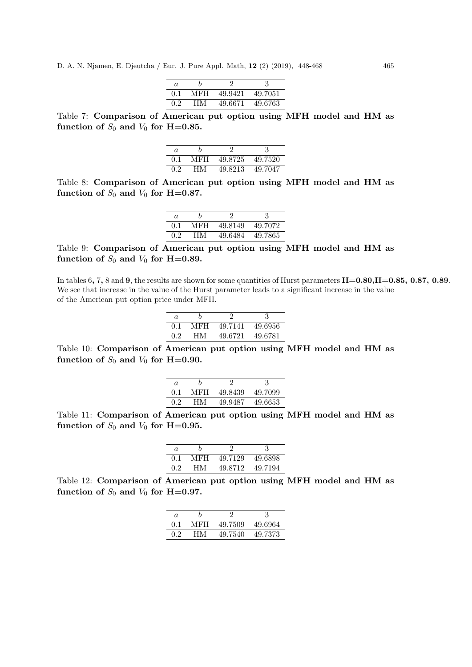| a.            |     |         |         |
|---------------|-----|---------|---------|
| 0.1           | MFH | 49.9421 | 49.7051 |
| $0.2^{\circ}$ | HМ  | 49.6671 | 49.6763 |

Table 7: Comparison of American put option using MFH model and HM as function of  $S_0$  and  $V_0$  for H=0.85.

| a.  |     |         |         |
|-----|-----|---------|---------|
| 0.1 | MFH | 49.8725 | 49.7520 |
| 0.2 | HМ  | 49.8213 | 49.7047 |

Table 8: Comparison of American put option using MFH model and HM as function of  $S_0$  and  $V_0$  for H=0.87.

| a.               |     |         |          |
|------------------|-----|---------|----------|
| 0.1              | MFH | 49.8149 | 49.7072  |
| 0.2 <sub>1</sub> | HМ  | 49.6484 | -49.7865 |

Table 9: Comparison of American put option using MFH model and HM as function of  $S_0$  and  $V_0$  for H=0.89.

In tables 6, 7, 8 and 9, the results are shown for some quantities of Hurst parameters  $H=0.80, H=0.85, 0.87, 0.89$ . We see that increase in the value of the Hurst parameter leads to a significant increase in the value of the American put option price under MFH.

| a   |      |         |         |
|-----|------|---------|---------|
| 0.1 | MFH- | 49.7141 | 49.6956 |
| 02  | ĦМ   | 49.6721 | 49.6781 |

Table 10: Comparison of American put option using MFH model and HM as function of  $S_0$  and  $V_0$  for H=0.90.

| a.  |     |         |         |
|-----|-----|---------|---------|
| 0.1 | MFH | 49.8439 | 49.7099 |
| 0.2 | HM. | 49.9487 | 49.6653 |

Table 11: Comparison of American put option using MFH model and HM as function of  $S_0$  and  $V_0$  for H=0.95.

| $\alpha$ |     |         |          |
|----------|-----|---------|----------|
| 0.1      | MFH | 49.7129 | -49.6898 |
| 0.2      | HМ  | 49.8712 | 49.7194  |

Table 12: Comparison of American put option using MFH model and HM as function of  $S_0$  and  $V_0$  for H=0.97.

| a.        |     |         |         |
|-----------|-----|---------|---------|
| $(1)$ . 1 | MFH | 49.7509 | 49.6964 |
| 0.2       | HM  | 49.7540 | 49.7373 |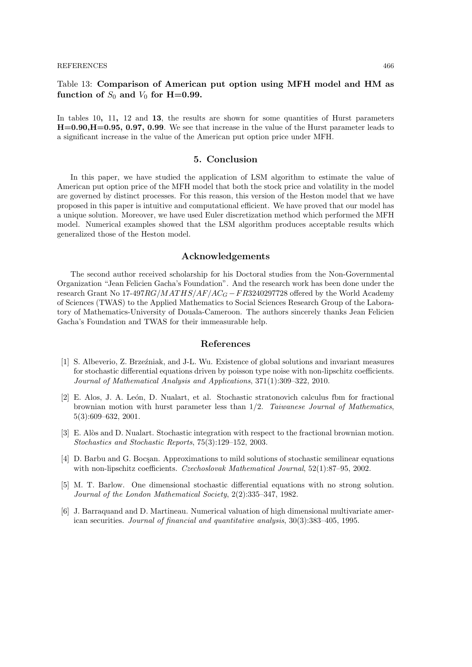# Table 13: Comparison of American put option using MFH model and HM as function of  $S_0$  and  $V_0$  for H=0.99.

In tables 10, 11, 12 and 13, the results are shown for some quantities of Hurst parameters H=0.90,H=0.95, 0.97, 0.99. We see that increase in the value of the Hurst parameter leads to a significant increase in the value of the American put option price under MFH.

#### 5. Conclusion

In this paper, we have studied the application of LSM algorithm to estimate the value of American put option price of the MFH model that both the stock price and volatility in the model are governed by distinct processes. For this reason, this version of the Heston model that we have proposed in this paper is intuitive and computational efficient. We have proved that our model has a unique solution. Moreover, we have used Euler discretization method which performed the MFH model. Numerical examples showed that the LSM algorithm produces acceptable results which generalized those of the Heston model.

## Acknowledgements

The second author received scholarship for his Doctoral studies from the Non-Governmental Organization "Jean Felicien Gacha's Foundation". And the research work has been done under the research Grant No 17-497RG/MATHS/AF/AC<sub>G</sub> – FR3240297728 offered by the World Academy of Sciences (TWAS) to the Applied Mathematics to Social Sciences Research Group of the Laboratory of Mathematics-University of Douala-Cameroon. The authors sincerely thanks Jean Felicien Gacha's Foundation and TWAS for their immeasurable help.

#### References

- [1] S. Albeverio, Z. Brze´zniak, and J-L. Wu. Existence of global solutions and invariant measures for stochastic differential equations driven by poisson type noise with non-lipschitz coefficients. Journal of Mathematical Analysis and Applications, 371(1):309–322, 2010.
- [2] E. Alos, J. A. León, D. Nualart, et al. Stochastic stratonovich calculus fbm for fractional brownian motion with hurst parameter less than 1/2. Taiwanese Journal of Mathematics, 5(3):609–632, 2001.
- [3] E. Alòs and D. Nualart. Stochastic integration with respect to the fractional brownian motion. Stochastics and Stochastic Reports, 75(3):129–152, 2003.
- [4] D. Barbu and G. Bocsan. Approximations to mild solutions of stochastic semilinear equations with non-lipschitz coefficients. *Czechoslovak Mathematical Journal*, 52(1):87–95, 2002.
- [5] M. T. Barlow. One dimensional stochastic differential equations with no strong solution. Journal of the London Mathematical Society, 2(2):335–347, 1982.
- [6] J. Barraquand and D. Martineau. Numerical valuation of high dimensional multivariate american securities. Journal of financial and quantitative analysis, 30(3):383–405, 1995.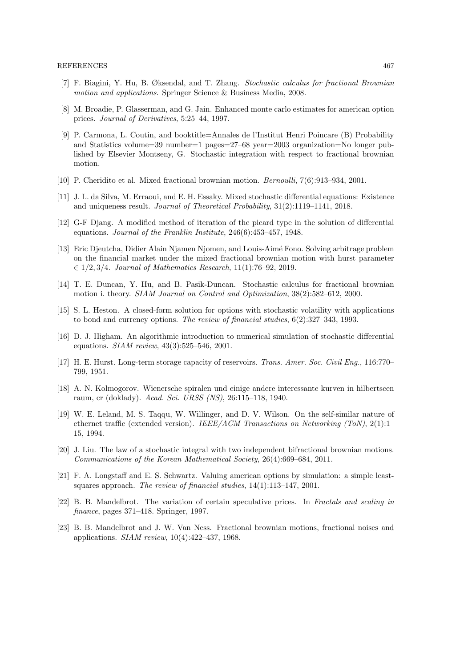- [7] F. Biagini, Y. Hu, B. Øksendal, and T. Zhang. Stochastic calculus for fractional Brownian motion and applications. Springer Science & Business Media, 2008.
- [8] M. Broadie, P. Glasserman, and G. Jain. Enhanced monte carlo estimates for american option prices. Journal of Derivatives, 5:25–44, 1997.
- [9] P. Carmona, L. Coutin, and booktitle=Annales de l'Institut Henri Poincare (B) Probability and Statistics volume=39 number=1 pages=27–68 year=2003 organization=No longer published by Elsevier Montseny, G. Stochastic integration with respect to fractional brownian motion.
- [10] P. Cheridito et al. Mixed fractional brownian motion. Bernoulli, 7(6):913–934, 2001.
- [11] J. L. da Silva, M. Erraoui, and E. H. Essaky. Mixed stochastic differential equations: Existence and uniqueness result. Journal of Theoretical Probability, 31(2):1119–1141, 2018.
- [12] G-F Djang. A modified method of iteration of the picard type in the solution of differential equations. Journal of the Franklin Institute, 246(6):453–457, 1948.
- [13] Eric Djeutcha, Didier Alain Njamen Njomen, and Louis-Aimé Fono. Solving arbitrage problem on the financial market under the mixed fractional brownian motion with hurst parameter ∈ 1/2, 3/4. Journal of Mathematics Research, 11(1):76–92, 2019.
- [14] T. E. Duncan, Y. Hu, and B. Pasik-Duncan. Stochastic calculus for fractional brownian motion i. theory. SIAM Journal on Control and Optimization, 38(2):582–612, 2000.
- [15] S. L. Heston. A closed-form solution for options with stochastic volatility with applications to bond and currency options. The review of financial studies, 6(2):327–343, 1993.
- [16] D. J. Higham. An algorithmic introduction to numerical simulation of stochastic differential equations. SIAM review, 43(3):525–546, 2001.
- [17] H. E. Hurst. Long-term storage capacity of reservoirs. Trans. Amer. Soc. Civil Eng., 116:770– 799, 1951.
- [18] A. N. Kolmogorov. Wienersche spiralen und einige andere interessante kurven in hilbertscen raum, cr (doklady). Acad. Sci. URSS (NS), 26:115–118, 1940.
- [19] W. E. Leland, M. S. Taqqu, W. Willinger, and D. V. Wilson. On the self-similar nature of ethernet traffic (extended version). IEEE/ACM Transactions on Networking (ToN), 2(1):1-15, 1994.
- [20] J. Liu. The law of a stochastic integral with two independent bifractional brownian motions. Communications of the Korean Mathematical Society, 26(4):669–684, 2011.
- [21] F. A. Longstaff and E. S. Schwartz. Valuing american options by simulation: a simple leastsquares approach. The review of financial studies, 14(1):113–147, 2001.
- [22] B. B. Mandelbrot. The variation of certain speculative prices. In Fractals and scaling in finance, pages 371–418. Springer, 1997.
- [23] B. B. Mandelbrot and J. W. Van Ness. Fractional brownian motions, fractional noises and applications. SIAM review, 10(4):422–437, 1968.